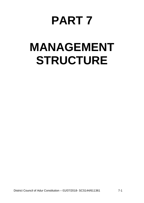## **PART 7**

# **MANAGEMENT STRUCTURE**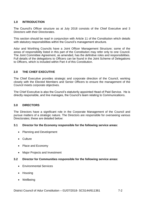## **1.0 INTRODUCTION**

The Council's Officer structure as at July 2018 consists of the Chief Executive and 3 Directors with their Directorates.

This section should be read in conjunction with Article 11 of the Constitution which details with statutory responsibilities within the Council's management structure.

Adur and Worthing Councils have a Joint Officer Management Structure; some of the areas of responsibility listed in this part of the Constitution may refer only to one Council. The Joint Committee Agreement, as amended, has the definitive roles and responsibilities. Full details of the delegations to Officers can be found in the Joint Scheme of Delegations to Officers, which is included within Part 4 of this Constitution.

## **2.0 THE CHIEF EXECUTIVE**

The Chief Executive provides strategic and corporate direction of the Council, working closely with the Elected Members and Senior Officers to ensure the management of the Council meets corporate objectives.

The Chief Executive is also the Council's statutorily appointed Head of Paid Service. He is directly responsible, and line manages, the Council's team relating to Communications.

## **3.0 DIRECTORS**

The Directors have a significant role in the Corporate Management of the Council and pursue matters of a strategic nature. The Directors are responsible for overseeing various Directorates; these are detailed below:

#### **3.1 Director for the Economy responsible for the following service areas:**

- Planning and Development
- Culture
- Place and Economy
- Major Projects and Investment

## **3.2 Director for Communities responsible for the following service areas:**

- **•** Environmental Services
- Housing
- Wellbeing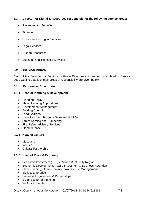## **3.3 Director for Digital & Resources responsible for the following service areas:**

- Revenues and Benefits
- Finance
- Customer and Digital Services
- Legal Services
- Human Resources
- Business and Technical Services

#### **4.0 SERVICE AREAS**

Each of the Services, or Sections, within a Directorate is headed by a Head of Service post. Outline details of their areas of responsibility are given below:-

#### **4.1 Economies Directorate**

#### **4.1.1 Head of Planning & Development**

- Planning Policy
- Major Planning Applications
- Development Management
- Building Control
- Land Charges
- Local Land and Property Gazetteer (LLPG)
- Street Naming and Numbering
- Fire Safety Advisory Services
- Flood defence

## **4.1.2 Head of Culture**

- **•** Museums
- Venues
- Cultural Partnership

## **4.1.3 Head of Place & Economy**

- Economic Investment (LEP) / Growth Deal / City Region
- Economic Development, Inward Investment & Business Retention
- Place Shaping, Urban Realm & Town Centre Management
- Skills & Enterprise
- Business Engagement & Partnerships
- EU and External Funding
- Visitors & Events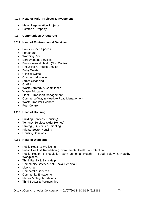## **4.1.4 Head of Major Projects & Investment**

- Major Regeneration Projects
- Estates & Property

#### **4.2 Communities Directorate**

#### **4.2.1 Head of Environmental Services**

- Parks & Open Spaces
- Foreshore
- Worthing Pier
- Bereavement Services
- Environmental Health (Dog Control)
- Recycling & Refuse Service
- Bulky Waste
- Clinical Waste
- Commercial Waste
- Street Cleansing
- Graffiti
- Waste Strategy & Compliance
- Waste Education
- Fleet & Transport Management
- Commerce Way & Meadow Road Management
- Waste Transfer Licences
- Pest Control

## **4.2.2 Head of Housing**

- Building Services (Housing)
- Tenancy Services (Adur Homes)
- Strategy, Systems & Clienting
- Private Sector Housing
- **•** Housing Solutions

## **4.2.3 Head of Wellbeing**

- Public Health & Wellbeing
- Public Health & Regulation (Environmental Health) Protection
- Public Health & Regulation (Environmental Health) Food Safety & Healthy **Workplaces**
- Think Family & Early Help
- Community Safety & Anti-Social Behaviour
- Licensing
- Democratic Services
- Community Engagement
- Places & Neighbourhoods
- Third Sector & Partnerships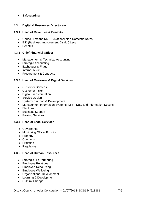• Safeguarding

## **4.3 Digital & Resources Directorate**

#### **4.3.1 Head of Revenues & Benefits**

- Council Tax and NNDR (National Non-Domestic Rates)
- BID (Business Improvement District) Levy
- Benefits

## **4.3.2 Chief Financial Officer**

- Management & Technical Accounting
- Strategic Accounting
- Exchequer & Fraud
- Internal Audit
- Procurement & Contracts

## **4.3.3 Head of Customer & Digital Services**

- Customer Services
- Customer Insight
- Digital Transformation
- Service Design
- Systems Support & Development
- Management Information Systems (MIS), Data and Information Security
- Elections
- Business Support
- Parking Services

## **4.3.4 Head of Legal Services**

- Governance
- Monitoring Officer Function
- Property
- Contracts
- Litigation
- Regulatory

## **4.3.5 Head of Human Resources**

- Strategic HR Partnering
- Employee Relations
- Employee Resourcing
- Employee Wellbeing
- Organisational Development
- Learning & Development
- Cultural Change